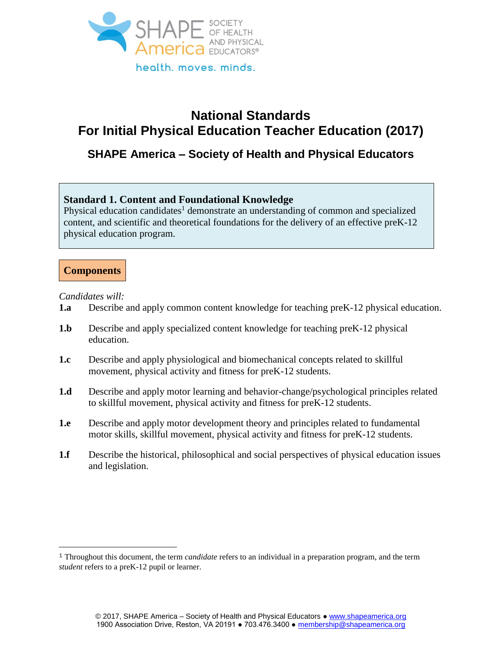

# **National Standards For Initial Physical Education Teacher Education (2017)**

# **SHAPE America – Society of Health and Physical Educators**

# **Standard 1. Content and Foundational Knowledge**

Physical education candidates<sup>1</sup> demonstrate an understanding of common and specialized content, and scientific and theoretical foundations for the delivery of an effective preK-12 physical education program.

# **Components**

*Candidates will:* 

- **1.a** Describe and apply common content knowledge for teaching preK-12 physical education.
- **1.b** Describe and apply specialized content knowledge for teaching preK-12 physical education.
- **1.c** Describe and apply physiological and biomechanical concepts related to skillful movement, physical activity and fitness for preK-12 students.
- **1.d** Describe and apply motor learning and behavior-change/psychological principles related to skillful movement, physical activity and fitness for preK-12 students.
- **1.e** Describe and apply motor development theory and principles related to fundamental motor skills, skillful movement, physical activity and fitness for preK-12 students.
- **1.f** Describe the historical, philosophical and social perspectives of physical education issues and legislation.

<sup>1</sup> Throughout this document, the term *candidate* refers to an individual in a preparation program, and the term *student* refers to a preK-12 pupil or learner.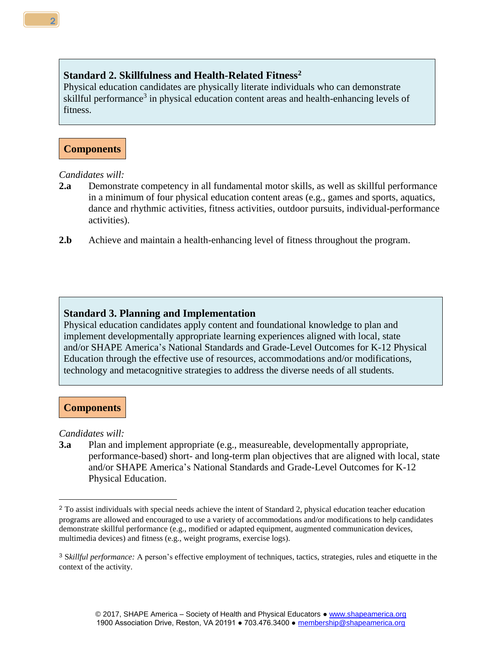# **Standard 2. Skillfulness and Health-Related Fitness<sup>2</sup>**

Physical education candidates are physically literate individuals who can demonstrate skillful performance<sup>3</sup> in physical education content areas and health-enhancing levels of fitness.

# **Components**

#### *Candidates will:*

- **2.a** Demonstrate competency in all fundamental motor skills, as well as skillful performance in a minimum of four physical education content areas (e.g., games and sports, aquatics, dance and rhythmic activities, fitness activities, outdoor pursuits, individual-performance activities).
- **2.b** Achieve and maintain a health-enhancing level of fitness throughout the program.

#### **Standard 3. Planning and Implementation**

Physical education candidates apply content and foundational knowledge to plan and implement developmentally appropriate learning experiences aligned with local, state and/or SHAPE America's National Standards and Grade-Level Outcomes for K-12 Physical Education through the effective use of resources, accommodations and/or modifications, technology and metacognitive strategies to address the diverse needs of all students.

#### **Components**

*Candidates will:* 

**3.a** Plan and implement appropriate (e.g., measureable, developmentally appropriate, performance-based) short- and long-term plan objectives that are aligned with local, state and/or SHAPE America's National Standards and Grade-Level Outcomes for K-12 Physical Education.

<sup>2</sup> To assist individuals with special needs achieve the intent of Standard 2, physical education teacher education programs are allowed and encouraged to use a variety of accommodations and/or modifications to help candidates demonstrate skillful performance (e.g., modified or adapted equipment, augmented communication devices, multimedia devices) and fitness (e.g., weight programs, exercise logs).

<sup>3</sup> S*killful performance:* A person's effective employment of techniques, tactics, strategies, rules and etiquette in the context of the activity.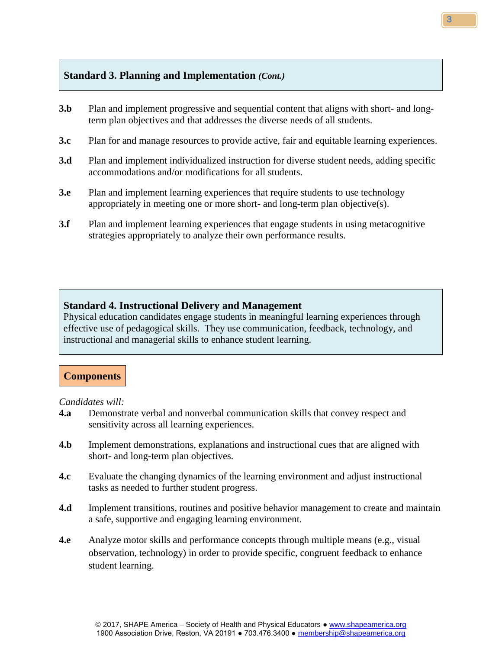#### **Standard 3. Planning and Implementation** *(Cont.)*

- **3.b** Plan and implement progressive and sequential content that aligns with short- and longterm plan objectives and that addresses the diverse needs of all students.
- **3.c** Plan for and manage resources to provide active, fair and equitable learning experiences.
- **3.d** Plan and implement individualized instruction for diverse student needs, adding specific accommodations and/or modifications for all students.
- **3.e** Plan and implement learning experiences that require students to use technology appropriately in meeting one or more short- and long-term plan objective(s).
- **3.f** Plan and implement learning experiences that engage students in using metacognitive strategies appropriately to analyze their own performance results.

#### **Standard 4. Instructional Delivery and Management**

Physical education candidates engage students in meaningful learning experiences through effective use of pedagogical skills. They use communication, feedback, technology, and instructional and managerial skills to enhance student learning.

# **Components**

*Candidates will:* 

- **4.a** Demonstrate verbal and nonverbal communication skills that convey respect and sensitivity across all learning experiences.
- **4.b** Implement demonstrations, explanations and instructional cues that are aligned with short- and long-term plan objectives.
- **4.c** Evaluate the changing dynamics of the learning environment and adjust instructional tasks as needed to further student progress.
- **4.d** Implement transitions, routines and positive behavior management to create and maintain a safe, supportive and engaging learning environment.
- **4.e** Analyze motor skills and performance concepts through multiple means (e.g., visual observation, technology) in order to provide specific, congruent feedback to enhance student learning.